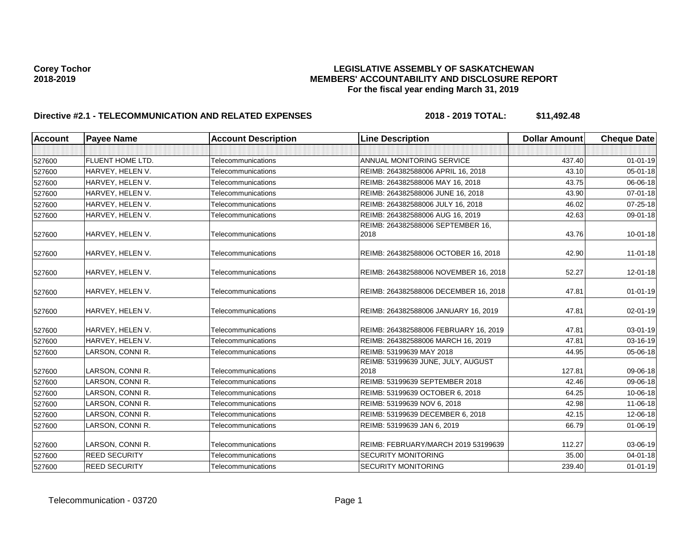| <b>Account</b> | <b>Payee Name</b>       | <b>Account Description</b> | <b>Line Description</b>                    | <b>Dollar Amount</b> | <b>Cheque Date</b> |
|----------------|-------------------------|----------------------------|--------------------------------------------|----------------------|--------------------|
|                |                         |                            |                                            |                      |                    |
| 527600         | <b>FLUENT HOME LTD.</b> | Telecommunications         | ANNUAL MONITORING SERVICE                  | 437.40               | $01 - 01 - 19$     |
| 527600         | HARVEY, HELEN V.        | Telecommunications         | REIMB: 264382588006 APRIL 16, 2018         | 43.10                | 05-01-18           |
| 527600         | HARVEY, HELEN V.        | Telecommunications         | REIMB: 264382588006 MAY 16, 2018           | 43.75                | 06-06-18           |
| 527600         | HARVEY, HELEN V.        | Telecommunications         | REIMB: 264382588006 JUNE 16, 2018          | 43.90                | 07-01-18           |
| 527600         | HARVEY, HELEN V.        | Telecommunications         | REIMB: 264382588006 JULY 16, 2018          | 46.02                | 07-25-18           |
| 527600         | HARVEY, HELEN V.        | Telecommunications         | REIMB: 264382588006 AUG 16, 2019           | 42.63                | 09-01-18           |
| 527600         | HARVEY, HELEN V.        | Telecommunications         | REIMB: 264382588006 SEPTEMBER 16,<br>2018  | 43.76                | $10 - 01 - 18$     |
| 527600         | HARVEY, HELEN V.        | Telecommunications         | REIMB: 264382588006 OCTOBER 16, 2018       | 42.90                | $11 - 01 - 18$     |
| 527600         | HARVEY, HELEN V.        | Telecommunications         | REIMB: 264382588006 NOVEMBER 16, 2018      | 52.27                | $12 - 01 - 18$     |
| 527600         | HARVEY, HELEN V.        | Telecommunications         | REIMB: 264382588006 DECEMBER 16, 2018      | 47.81                | $01 - 01 - 19$     |
| 527600         | HARVEY, HELEN V.        | Telecommunications         | REIMB: 264382588006 JANUARY 16, 2019       | 47.81                | 02-01-19           |
| 527600         | HARVEY, HELEN V.        | Telecommunications         | REIMB: 264382588006 FEBRUARY 16, 2019      | 47.81                | 03-01-19           |
| 527600         | HARVEY, HELEN V.        | Telecommunications         | REIMB: 264382588006 MARCH 16, 2019         | 47.81                | 03-16-19           |
| 527600         | LARSON, CONNI R.        | Telecommunications         | REIMB: 53199639 MAY 2018                   | 44.95                | 05-06-18           |
| 527600         | LARSON, CONNI R.        | Telecommunications         | REIMB: 53199639 JUNE, JULY, AUGUST<br>2018 | 127.81               | 09-06-18           |
| 527600         | LARSON, CONNI R.        | Telecommunications         | REIMB: 53199639 SEPTEMBER 2018             | 42.46                | 09-06-18           |
| 527600         | LARSON, CONNI R.        | Telecommunications         | REIMB: 53199639 OCTOBER 6, 2018            | 64.25                | 10-06-18           |
| 527600         | LARSON, CONNI R.        | Telecommunications         | REIMB: 53199639 NOV 6, 2018                | 42.98                | 11-06-18           |
| 527600         | LARSON, CONNI R.        | Telecommunications         | REIMB: 53199639 DECEMBER 6, 2018           | 42.15                | 12-06-18           |
| 527600         | LARSON, CONNI R.        | Telecommunications         | REIMB: 53199639 JAN 6, 2019                | 66.79                | $01 - 06 - 19$     |
| 527600         | LARSON, CONNI R.        | Telecommunications         | REIMB: FEBRUARY/MARCH 2019 53199639        | 112.27               | 03-06-19           |
| 527600         | <b>REED SECURITY</b>    | Telecommunications         | <b>SECURITY MONITORING</b>                 | 35.00                | 04-01-18           |
| 527600         | <b>REED SECURITY</b>    | Telecommunications         | <b>SECURITY MONITORING</b>                 | 239.40               | $01 - 01 - 19$     |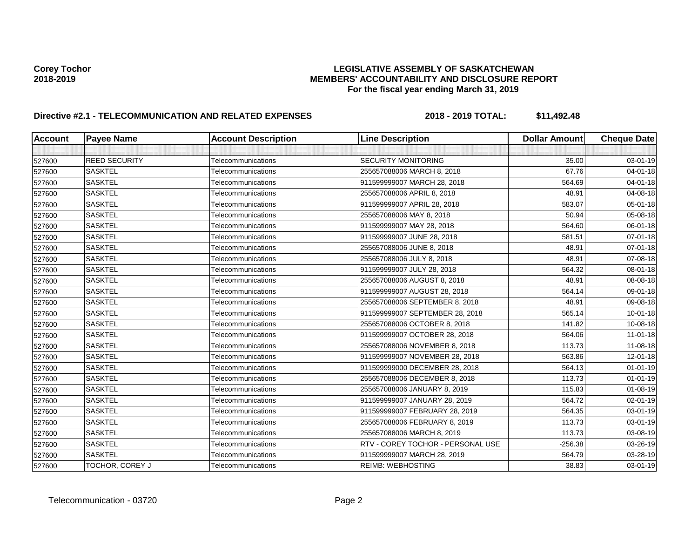| <b>Account</b> | <b>Payee Name</b>    | <b>Account Description</b> | <b>Line Description</b>           | <b>Dollar Amount</b> | <b>Cheque Date</b> |
|----------------|----------------------|----------------------------|-----------------------------------|----------------------|--------------------|
|                |                      |                            |                                   |                      |                    |
| 527600         | <b>REED SECURITY</b> | Telecommunications         | <b>SECURITY MONITORING</b>        | 35.00                | 03-01-19           |
| 527600         | <b>SASKTEL</b>       | Telecommunications         | 255657088006 MARCH 8, 2018        | 67.76                | $04 - 01 - 18$     |
| 527600         | <b>SASKTEL</b>       | Telecommunications         | 911599999007 MARCH 28, 2018       | 564.69               | $04 - 01 - 18$     |
| 527600         | <b>SASKTEL</b>       | Telecommunications         | 255657088006 APRIL 8, 2018        | 48.91                | 04-08-18           |
| 527600         | <b>SASKTEL</b>       | Telecommunications         | 911599999007 APRIL 28, 2018       | 583.07               | 05-01-18           |
| 527600         | <b>SASKTEL</b>       | Telecommunications         | 255657088006 MAY 8, 2018          | 50.94                | 05-08-18           |
| 527600         | <b>SASKTEL</b>       | Telecommunications         | 911599999007 MAY 28, 2018         | 564.60               | 06-01-18           |
| 527600         | <b>SASKTEL</b>       | Telecommunications         | 911599999007 JUNE 28, 2018        | 581.51               | 07-01-18           |
| 527600         | <b>SASKTEL</b>       | Telecommunications         | 255657088006 JUNE 8, 2018         | 48.91                | 07-01-18           |
| 527600         | <b>SASKTEL</b>       | Telecommunications         | 255657088006 JULY 8, 2018         | 48.91                | 07-08-18           |
| 527600         | <b>SASKTEL</b>       | Telecommunications         | 911599999007 JULY 28, 2018        | 564.32               | 08-01-18           |
| 527600         | <b>SASKTEL</b>       | Telecommunications         | 255657088006 AUGUST 8, 2018       | 48.91                | 08-08-18           |
| 527600         | <b>SASKTEL</b>       | Telecommunications         | 911599999007 AUGUST 28, 2018      | 564.14               | 09-01-18           |
| 527600         | <b>SASKTEL</b>       | Telecommunications         | 255657088006 SEPTEMBER 8, 2018    | 48.91                | 09-08-18           |
| 527600         | <b>SASKTEL</b>       | Telecommunications         | 911599999007 SEPTEMBER 28, 2018   | 565.14               | $10 - 01 - 18$     |
| 527600         | <b>SASKTEL</b>       | Telecommunications         | 255657088006 OCTOBER 8, 2018      | 141.82               | 10-08-18           |
| 527600         | <b>SASKTEL</b>       | Telecommunications         | 911599999007 OCTOBER 28, 2018     | 564.06               | $11 - 01 - 18$     |
| 527600         | <b>SASKTEL</b>       | Telecommunications         | 255657088006 NOVEMBER 8, 2018     | 113.73               | 11-08-18           |
| 527600         | <b>SASKTEL</b>       | Telecommunications         | 911599999007 NOVEMBER 28, 2018    | 563.86               | $12 - 01 - 18$     |
| 527600         | <b>SASKTEL</b>       | Telecommunications         | 911599999000 DECEMBER 28, 2018    | 564.13               | $01 - 01 - 19$     |
| 527600         | <b>SASKTEL</b>       | Telecommunications         | 255657088006 DECEMBER 8, 2018     | 113.73               | $01 - 01 - 19$     |
| 527600         | <b>SASKTEL</b>       | Telecommunications         | 255657088006 JANUARY 8, 2019      | 115.83               | 01-08-19           |
| 527600         | <b>SASKTEL</b>       | Telecommunications         | 911599999007 JANUARY 28, 2019     | 564.72               | 02-01-19           |
| 527600         | <b>SASKTEL</b>       | Telecommunications         | 911599999007 FEBRUARY 28, 2019    | 564.35               | 03-01-19           |
| 527600         | <b>SASKTEL</b>       | Telecommunications         | 255657088006 FEBRUARY 8, 2019     | 113.73               | 03-01-19           |
| 527600         | <b>SASKTEL</b>       | Telecommunications         | 255657088006 MARCH 8, 2019        | 113.73               | 03-08-19           |
| 527600         | <b>SASKTEL</b>       | Telecommunications         | RTV - COREY TOCHOR - PERSONAL USE | $-256.38$            | 03-26-19           |
| 527600         | <b>SASKTEL</b>       | Telecommunications         | 911599999007 MARCH 28, 2019       | 564.79               | 03-28-19           |
| 527600         | TOCHOR, COREY J      | Telecommunications         | <b>REIMB: WEBHOSTING</b>          | 38.83                | 03-01-19           |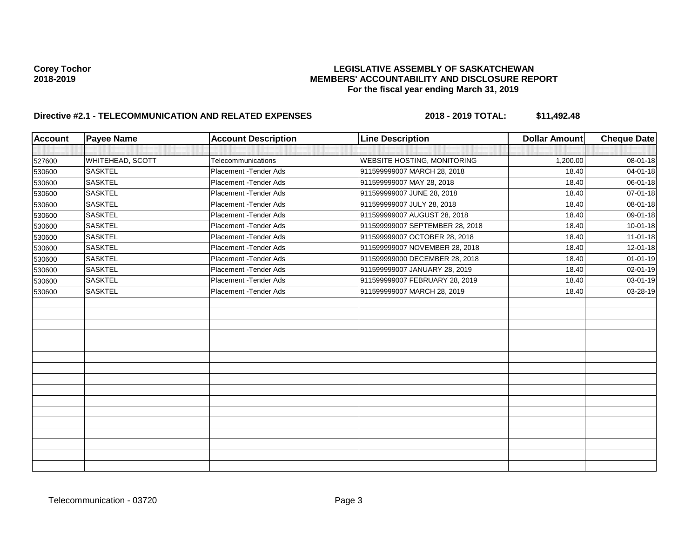| <b>Account</b> | <b>Payee Name</b> | <b>Account Description</b> | <b>Line Description</b>            | <b>Dollar Amount</b> | <b>Cheque Date</b> |
|----------------|-------------------|----------------------------|------------------------------------|----------------------|--------------------|
|                |                   |                            |                                    |                      |                    |
| 527600         | WHITEHEAD, SCOTT  | Telecommunications         | <b>WEBSITE HOSTING, MONITORING</b> | 1,200.00             | 08-01-18           |
| 530600         | <b>SASKTEL</b>    | Placement - Tender Ads     | 911599999007 MARCH 28, 2018        | 18.40                | 04-01-18           |
| 530600         | <b>SASKTEL</b>    | Placement - Tender Ads     | 911599999007 MAY 28, 2018          | 18.40                | 06-01-18           |
| 530600         | <b>SASKTEL</b>    | Placement - Tender Ads     | 911599999007 JUNE 28, 2018         | 18.40                | 07-01-18           |
| 530600         | <b>SASKTEL</b>    | Placement - Tender Ads     | 911599999007 JULY 28, 2018         | 18.40                | 08-01-18           |
| 530600         | <b>SASKTEL</b>    | Placement - Tender Ads     | 911599999007 AUGUST 28, 2018       | 18.40                | 09-01-18           |
| 530600         | <b>SASKTEL</b>    | Placement - Tender Ads     | 911599999007 SEPTEMBER 28, 2018    | 18.40                | $10 - 01 - 18$     |
| 530600         | <b>SASKTEL</b>    | Placement - Tender Ads     | 911599999007 OCTOBER 28, 2018      | 18.40                | $11-01-18$         |
| 530600         | <b>SASKTEL</b>    | Placement - Tender Ads     | 911599999007 NOVEMBER 28, 2018     | 18.40                | 12-01-18           |
| 530600         | <b>SASKTEL</b>    | Placement - Tender Ads     | 911599999000 DECEMBER 28, 2018     | 18.40                | $01 - 01 - 19$     |
| 530600         | <b>SASKTEL</b>    | Placement - Tender Ads     | 911599999007 JANUARY 28, 2019      | 18.40                | 02-01-19           |
| 530600         | <b>SASKTEL</b>    | Placement - Tender Ads     | 911599999007 FEBRUARY 28, 2019     | 18.40                | 03-01-19           |
| 530600         | <b>SASKTEL</b>    | Placement - Tender Ads     | 911599999007 MARCH 28, 2019        | 18.40                | 03-28-19           |
|                |                   |                            |                                    |                      |                    |
|                |                   |                            |                                    |                      |                    |
|                |                   |                            |                                    |                      |                    |
|                |                   |                            |                                    |                      |                    |
|                |                   |                            |                                    |                      |                    |
|                |                   |                            |                                    |                      |                    |
|                |                   |                            |                                    |                      |                    |
|                |                   |                            |                                    |                      |                    |
|                |                   |                            |                                    |                      |                    |
|                |                   |                            |                                    |                      |                    |
|                |                   |                            |                                    |                      |                    |
|                |                   |                            |                                    |                      |                    |
|                |                   |                            |                                    |                      |                    |
|                |                   |                            |                                    |                      |                    |
|                |                   |                            |                                    |                      |                    |
|                |                   |                            |                                    |                      |                    |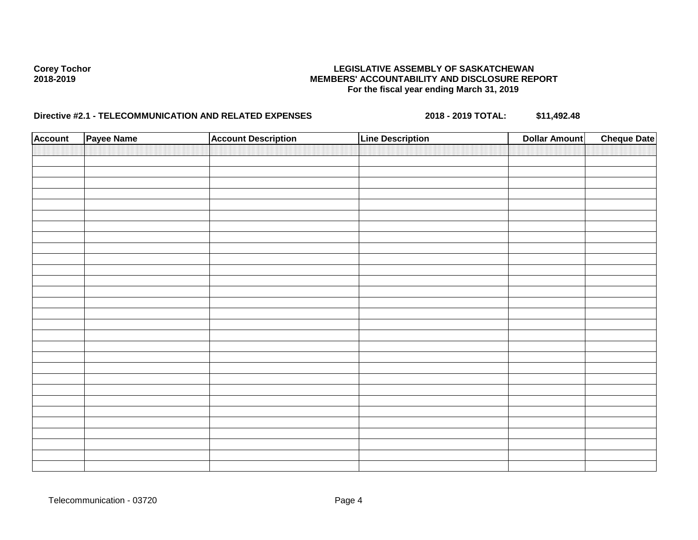| <b>Account</b> | Payee Name | <b>Account Description</b> | <b>Line Description</b> | <b>Dollar Amount</b> | <b>Cheque Date</b> |
|----------------|------------|----------------------------|-------------------------|----------------------|--------------------|
|                |            |                            |                         |                      |                    |
|                |            |                            |                         |                      |                    |
|                |            |                            |                         |                      |                    |
|                |            |                            |                         |                      |                    |
|                |            |                            |                         |                      |                    |
|                |            |                            |                         |                      |                    |
|                |            |                            |                         |                      |                    |
|                |            |                            |                         |                      |                    |
|                |            |                            |                         |                      |                    |
|                |            |                            |                         |                      |                    |
|                |            |                            |                         |                      |                    |
|                |            |                            |                         |                      |                    |
|                |            |                            |                         |                      |                    |
|                |            |                            |                         |                      |                    |
|                |            |                            |                         |                      |                    |
|                |            |                            |                         |                      |                    |
|                |            |                            |                         |                      |                    |
|                |            |                            |                         |                      |                    |
|                |            |                            |                         |                      |                    |
|                |            |                            |                         |                      |                    |
|                |            |                            |                         |                      |                    |
|                |            |                            |                         |                      |                    |
|                |            |                            |                         |                      |                    |
|                |            |                            |                         |                      |                    |
|                |            |                            |                         |                      |                    |
|                |            |                            |                         |                      |                    |
|                |            |                            |                         |                      |                    |
|                |            |                            |                         |                      |                    |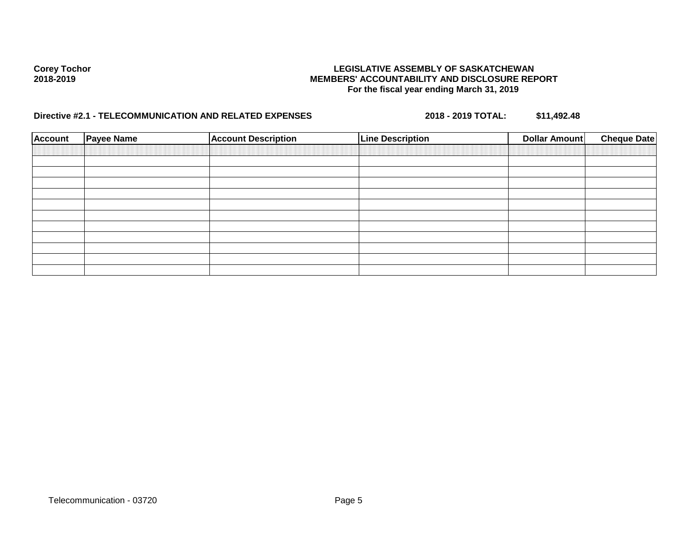| <b>Account</b> | <b>Payee Name</b> | <b>Account Description</b> | <b>Line Description</b> | <b>Cheque Date</b><br>Dollar Amount |
|----------------|-------------------|----------------------------|-------------------------|-------------------------------------|
|                |                   |                            |                         |                                     |
|                |                   |                            |                         |                                     |
|                |                   |                            |                         |                                     |
|                |                   |                            |                         |                                     |
|                |                   |                            |                         |                                     |
|                |                   |                            |                         |                                     |
|                |                   |                            |                         |                                     |
|                |                   |                            |                         |                                     |
|                |                   |                            |                         |                                     |
|                |                   |                            |                         |                                     |
|                |                   |                            |                         |                                     |
|                |                   |                            |                         |                                     |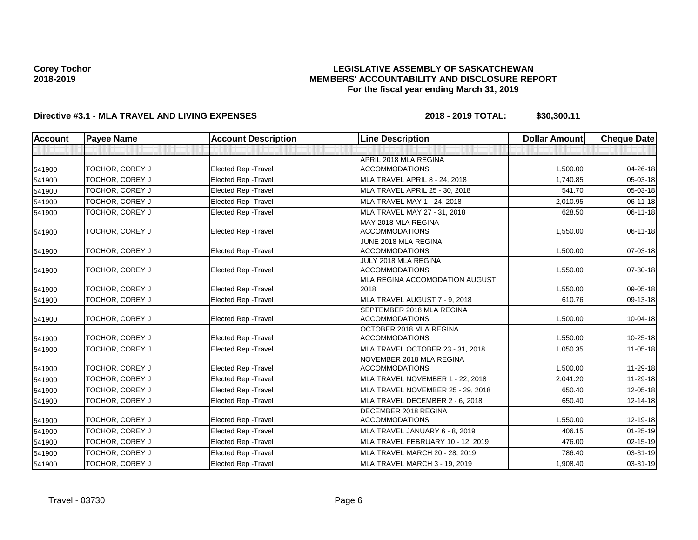### **LEGISLATIVE ASSEMBLY OF SASKATCHEWAN MEMBERS' ACCOUNTABILITY AND DISCLOSURE REPORT For the fiscal year ending March 31, 2019**

| Account | <b>Payee Name</b> | <b>Account Description</b>  | <b>Line Description</b>                            | <b>Dollar Amount</b> | <b>Cheque Date</b> |
|---------|-------------------|-----------------------------|----------------------------------------------------|----------------------|--------------------|
|         |                   |                             |                                                    |                      |                    |
| 541900  | TOCHOR, COREY J   | <b>Elected Rep - Travel</b> | APRIL 2018 MLA REGINA<br><b>ACCOMMODATIONS</b>     | 1,500.00             | 04-26-18           |
| 541900  | TOCHOR, COREY J   | <b>Elected Rep - Travel</b> | <b>MLA TRAVEL APRIL 8 - 24, 2018</b>               | 1,740.85             | 05-03-18           |
| 541900  | TOCHOR, COREY J   | <b>Elected Rep - Travel</b> | MLA TRAVEL APRIL 25 - 30, 2018                     | 541.70               | 05-03-18           |
| 541900  | TOCHOR, COREY J   | <b>Elected Rep - Travel</b> | MLA TRAVEL MAY 1 - 24, 2018                        | 2,010.95             | $06 - 11 - 18$     |
| 541900  | TOCHOR, COREY J   | Elected Rep - Travel        | MLA TRAVEL MAY 27 - 31, 2018                       | 628.50               | 06-11-18           |
| 541900  | TOCHOR, COREY J   | <b>Elected Rep - Travel</b> | MAY 2018 MLA REGINA<br><b>ACCOMMODATIONS</b>       | 1,550.00             | 06-11-18           |
| 541900  | TOCHOR, COREY J   | <b>Elected Rep - Travel</b> | JUNE 2018 MLA REGINA<br><b>ACCOMMODATIONS</b>      | 1,500.00             | 07-03-18           |
| 541900  | TOCHOR, COREY J   | <b>Elected Rep - Travel</b> | JULY 2018 MLA REGINA<br><b>ACCOMMODATIONS</b>      | 1,550.00             | 07-30-18           |
| 541900  | TOCHOR, COREY J   | <b>Elected Rep - Travel</b> | MLA REGINA ACCOMODATION AUGUST<br>2018             | 1,550.00             | 09-05-18           |
| 541900  | TOCHOR, COREY J   | <b>Elected Rep - Travel</b> | MLA TRAVEL AUGUST 7 - 9, 2018                      | 610.76               | 09-13-18           |
| 541900  | TOCHOR, COREY J   | Elected Rep - Travel        | SEPTEMBER 2018 MLA REGINA<br><b>ACCOMMODATIONS</b> | 1,500.00             | $10 - 04 - 18$     |
| 541900  | TOCHOR, COREY J   | <b>Elected Rep - Travel</b> | OCTOBER 2018 MLA REGINA<br><b>ACCOMMODATIONS</b>   | 1,550.00             | 10-25-18           |
| 541900  | TOCHOR, COREY J   | Elected Rep - Travel        | MLA TRAVEL OCTOBER 23 - 31, 2018                   | 1,050.35             | 11-05-18           |
| 541900  | TOCHOR, COREY J   | <b>Elected Rep - Travel</b> | NOVEMBER 2018 MLA REGINA<br><b>ACCOMMODATIONS</b>  | 1,500.00             | 11-29-18           |
| 541900  | TOCHOR, COREY J   | <b>Elected Rep - Travel</b> | MLA TRAVEL NOVEMBER 1 - 22, 2018                   | 2,041.20             | 11-29-18           |
| 541900  | TOCHOR, COREY J   | <b>Elected Rep - Travel</b> | MLA TRAVEL NOVEMBER 25 - 29, 2018                  | 650.40               | 12-05-18           |
| 541900  | TOCHOR, COREY J   | <b>Elected Rep - Travel</b> | MLA TRAVEL DECEMBER 2 - 6, 2018                    | 650.40               | 12-14-18           |
| 541900  | TOCHOR, COREY J   | <b>Elected Rep - Travel</b> | DECEMBER 2018 REGINA<br><b>ACCOMMODATIONS</b>      | 1,550.00             | 12-19-18           |
| 541900  | TOCHOR, COREY J   | <b>Elected Rep - Travel</b> | MLA TRAVEL JANUARY 6 - 8, 2019                     | 406.15               | $01 - 25 - 19$     |
| 541900  | TOCHOR, COREY J   | Elected Rep - Travel        | MLA TRAVEL FEBRUARY 10 - 12, 2019                  | 476.00               | $02 - 15 - 19$     |
| 541900  | TOCHOR, COREY J   | <b>Elected Rep - Travel</b> | MLA TRAVEL MARCH 20 - 28, 2019                     | 786.40               | 03-31-19           |
| 541900  | TOCHOR, COREY J   | Elected Rep - Travel        | MLA TRAVEL MARCH 3 - 19, 2019                      | 1,908.40             | 03-31-19           |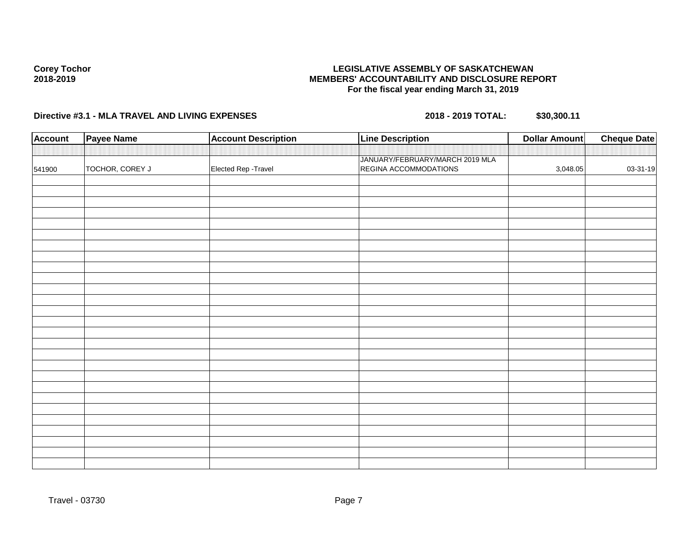### **LEGISLATIVE ASSEMBLY OF SASKATCHEWAN MEMBERS' ACCOUNTABILITY AND DISCLOSURE REPORT For the fiscal year ending March 31, 2019**

| <b>Account</b> | <b>Payee Name</b> | <b>Account Description</b> | <b>Line Description</b>                                  | <b>Dollar Amount</b> | <b>Cheque Date</b> |
|----------------|-------------------|----------------------------|----------------------------------------------------------|----------------------|--------------------|
|                |                   |                            |                                                          |                      |                    |
| 541900         | TOCHOR, COREY J   | Elected Rep - Travel       | JANUARY/FEBRUARY/MARCH 2019 MLA<br>REGINA ACCOMMODATIONS | 3,048.05             | 03-31-19           |
|                |                   |                            |                                                          |                      |                    |
|                |                   |                            |                                                          |                      |                    |
|                |                   |                            |                                                          |                      |                    |
|                |                   |                            |                                                          |                      |                    |
|                |                   |                            |                                                          |                      |                    |
|                |                   |                            |                                                          |                      |                    |
|                |                   |                            |                                                          |                      |                    |
|                |                   |                            |                                                          |                      |                    |
|                |                   |                            |                                                          |                      |                    |
|                |                   |                            |                                                          |                      |                    |
|                |                   |                            |                                                          |                      |                    |
|                |                   |                            |                                                          |                      |                    |
|                |                   |                            |                                                          |                      |                    |
|                |                   |                            |                                                          |                      |                    |
|                |                   |                            |                                                          |                      |                    |
|                |                   |                            |                                                          |                      |                    |
|                |                   |                            |                                                          |                      |                    |
|                |                   |                            |                                                          |                      |                    |
|                |                   |                            |                                                          |                      |                    |
|                |                   |                            |                                                          |                      |                    |
|                |                   |                            |                                                          |                      |                    |
|                |                   |                            |                                                          |                      |                    |
|                |                   |                            |                                                          |                      |                    |
|                |                   |                            |                                                          |                      |                    |
|                |                   |                            |                                                          |                      |                    |
|                |                   |                            |                                                          |                      |                    |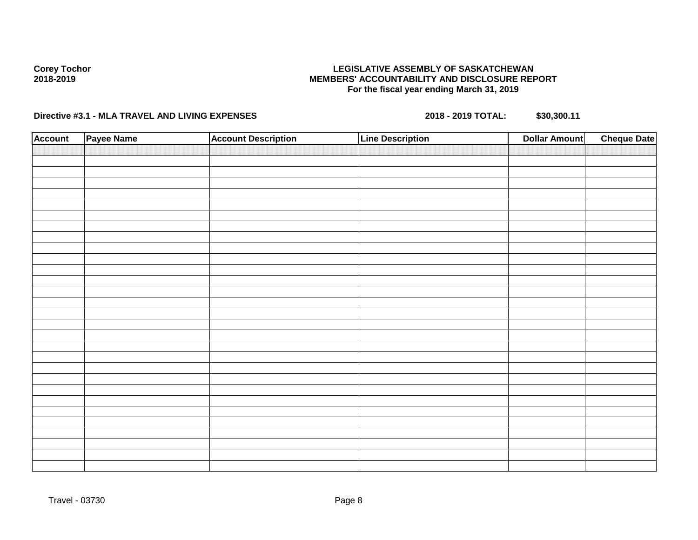### **LEGISLATIVE ASSEMBLY OF SASKATCHEWAN MEMBERS' ACCOUNTABILITY AND DISCLOSURE REPORT For the fiscal year ending March 31, 2019**

| <b>Account</b> | Payee Name | <b>Account Description</b> | <b>Line Description</b> | <b>Dollar Amount</b> | <b>Cheque Date</b> |
|----------------|------------|----------------------------|-------------------------|----------------------|--------------------|
|                |            |                            |                         |                      |                    |
|                |            |                            |                         |                      |                    |
|                |            |                            |                         |                      |                    |
|                |            |                            |                         |                      |                    |
|                |            |                            |                         |                      |                    |
|                |            |                            |                         |                      |                    |
|                |            |                            |                         |                      |                    |
|                |            |                            |                         |                      |                    |
|                |            |                            |                         |                      |                    |
|                |            |                            |                         |                      |                    |
|                |            |                            |                         |                      |                    |
|                |            |                            |                         |                      |                    |
|                |            |                            |                         |                      |                    |
|                |            |                            |                         |                      |                    |
|                |            |                            |                         |                      |                    |
|                |            |                            |                         |                      |                    |
|                |            |                            |                         |                      |                    |
|                |            |                            |                         |                      |                    |
|                |            |                            |                         |                      |                    |
|                |            |                            |                         |                      |                    |
|                |            |                            |                         |                      |                    |
|                |            |                            |                         |                      |                    |
|                |            |                            |                         |                      |                    |
|                |            |                            |                         |                      |                    |
|                |            |                            |                         |                      |                    |
|                |            |                            |                         |                      |                    |
|                |            |                            |                         |                      |                    |
|                |            |                            |                         |                      |                    |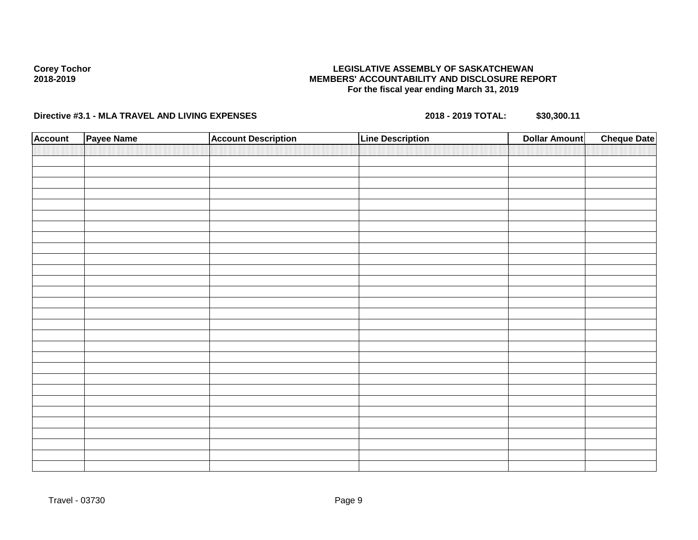### **LEGISLATIVE ASSEMBLY OF SASKATCHEWAN MEMBERS' ACCOUNTABILITY AND DISCLOSURE REPORT For the fiscal year ending March 31, 2019**

| <b>Account</b> | Payee Name | <b>Account Description</b> | <b>Line Description</b> | <b>Dollar Amount</b> | <b>Cheque Date</b> |
|----------------|------------|----------------------------|-------------------------|----------------------|--------------------|
|                |            |                            |                         |                      |                    |
|                |            |                            |                         |                      |                    |
|                |            |                            |                         |                      |                    |
|                |            |                            |                         |                      |                    |
|                |            |                            |                         |                      |                    |
|                |            |                            |                         |                      |                    |
|                |            |                            |                         |                      |                    |
|                |            |                            |                         |                      |                    |
|                |            |                            |                         |                      |                    |
|                |            |                            |                         |                      |                    |
|                |            |                            |                         |                      |                    |
|                |            |                            |                         |                      |                    |
|                |            |                            |                         |                      |                    |
|                |            |                            |                         |                      |                    |
|                |            |                            |                         |                      |                    |
|                |            |                            |                         |                      |                    |
|                |            |                            |                         |                      |                    |
|                |            |                            |                         |                      |                    |
|                |            |                            |                         |                      |                    |
|                |            |                            |                         |                      |                    |
|                |            |                            |                         |                      |                    |
|                |            |                            |                         |                      |                    |
|                |            |                            |                         |                      |                    |
|                |            |                            |                         |                      |                    |
|                |            |                            |                         |                      |                    |
|                |            |                            |                         |                      |                    |
|                |            |                            |                         |                      |                    |
|                |            |                            |                         |                      |                    |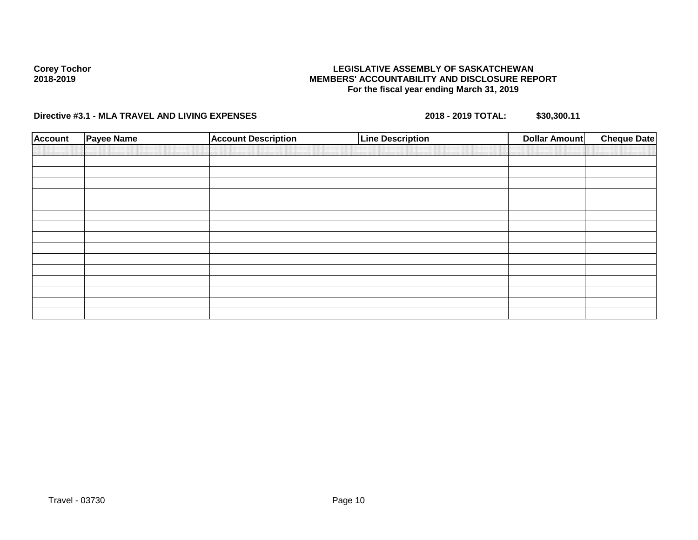### **LEGISLATIVE ASSEMBLY OF SASKATCHEWAN MEMBERS' ACCOUNTABILITY AND DISCLOSURE REPORT For the fiscal year ending March 31, 2019**

| <b>Account</b> | <b>Payee Name</b> | <b>Account Description</b> | <b>Line Description</b> | <b>Dollar Amount</b> | <b>Cheque Date</b> |
|----------------|-------------------|----------------------------|-------------------------|----------------------|--------------------|
|                |                   |                            |                         |                      |                    |
|                |                   |                            |                         |                      |                    |
|                |                   |                            |                         |                      |                    |
|                |                   |                            |                         |                      |                    |
|                |                   |                            |                         |                      |                    |
|                |                   |                            |                         |                      |                    |
|                |                   |                            |                         |                      |                    |
|                |                   |                            |                         |                      |                    |
|                |                   |                            |                         |                      |                    |
|                |                   |                            |                         |                      |                    |
|                |                   |                            |                         |                      |                    |
|                |                   |                            |                         |                      |                    |
|                |                   |                            |                         |                      |                    |
|                |                   |                            |                         |                      |                    |
|                |                   |                            |                         |                      |                    |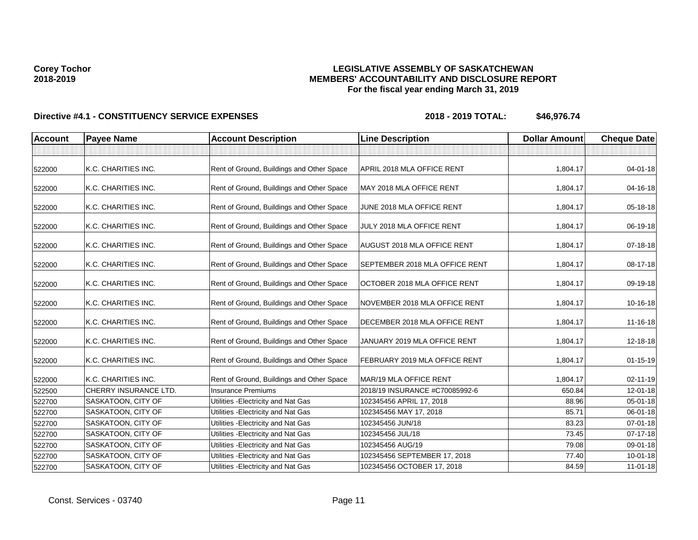### **LEGISLATIVE ASSEMBLY OF SASKATCHEWAN MEMBERS' ACCOUNTABILITY AND DISCLOSURE REPORT For the fiscal year ending March 31, 2019**

| <b>Account</b> | <b>Payee Name</b>     | <b>Account Description</b>                | <b>Line Description</b>            | <b>Dollar Amount</b> | <b>Cheque Date</b> |
|----------------|-----------------------|-------------------------------------------|------------------------------------|----------------------|--------------------|
|                |                       |                                           |                                    |                      |                    |
| 522000         | K.C. CHARITIES INC.   | Rent of Ground, Buildings and Other Space | APRIL 2018 MLA OFFICE RENT         | 1,804.17             | $04 - 01 - 18$     |
| 522000         | K.C. CHARITIES INC.   | Rent of Ground, Buildings and Other Space | MAY 2018 MLA OFFICE RENT           | 1,804.17             | 04-16-18           |
| 522000         | K.C. CHARITIES INC.   | Rent of Ground, Buildings and Other Space | JUNE 2018 MLA OFFICE RENT          | 1,804.17             | 05-18-18           |
| 522000         | K.C. CHARITIES INC.   | Rent of Ground, Buildings and Other Space | JULY 2018 MLA OFFICE RENT          | 1,804.17             | 06-19-18           |
| 522000         | K.C. CHARITIES INC.   | Rent of Ground, Buildings and Other Space | <b>AUGUST 2018 MLA OFFICE RENT</b> | 1,804.17             | 07-18-18           |
| 522000         | K.C. CHARITIES INC.   | Rent of Ground, Buildings and Other Space | SEPTEMBER 2018 MLA OFFICE RENT     | 1,804.17             | 08-17-18           |
| 522000         | K.C. CHARITIES INC.   | Rent of Ground, Buildings and Other Space | OCTOBER 2018 MLA OFFICE RENT       | 1,804.17             | 09-19-18           |
| 522000         | K.C. CHARITIES INC.   | Rent of Ground, Buildings and Other Space | NOVEMBER 2018 MLA OFFICE RENT      | 1,804.17             | 10-16-18           |
| 522000         | K.C. CHARITIES INC.   | Rent of Ground, Buildings and Other Space | DECEMBER 2018 MLA OFFICE RENT      | 1,804.17             | $11 - 16 - 18$     |
| 522000         | K.C. CHARITIES INC.   | Rent of Ground, Buildings and Other Space | JANUARY 2019 MLA OFFICE RENT       | 1,804.17             | 12-18-18           |
| 522000         | K.C. CHARITIES INC.   | Rent of Ground, Buildings and Other Space | FEBRUARY 2019 MLA OFFICE RENT      | 1,804.17             | $01 - 15 - 19$     |
| 522000         | K.C. CHARITIES INC.   | Rent of Ground, Buildings and Other Space | MAR/19 MLA OFFICE RENT             | 1,804.17             | $02 - 11 - 19$     |
| 522500         | CHERRY INSURANCE LTD. | <b>Insurance Premiums</b>                 | 2018/19 INSURANCE #C70085992-6     | 650.84               | $12 - 01 - 18$     |
| 522700         | SASKATOON, CITY OF    | Utilities - Electricity and Nat Gas       | 102345456 APRIL 17, 2018           | 88.96                | 05-01-18           |
| 522700         | SASKATOON, CITY OF    | Utilities - Electricity and Nat Gas       | 102345456 MAY 17, 2018             | 85.71                | 06-01-18           |
| 522700         | SASKATOON, CITY OF    | Utilities - Electricity and Nat Gas       | 102345456 JUN/18                   | 83.23                | 07-01-18           |
| 522700         | SASKATOON, CITY OF    | Utilities - Electricity and Nat Gas       | 102345456 JUL/18                   | 73.45                | $07 - 17 - 18$     |
| 522700         | SASKATOON, CITY OF    | Utilities - Electricity and Nat Gas       | 102345456 AUG/19                   | 79.08                | 09-01-18           |
| 522700         | SASKATOON, CITY OF    | Utilities - Electricity and Nat Gas       | 102345456 SEPTEMBER 17, 2018       | 77.40                | $10 - 01 - 18$     |
| 522700         | SASKATOON, CITY OF    | Utilities - Electricity and Nat Gas       | 102345456 OCTOBER 17, 2018         | 84.59                | 11-01-18           |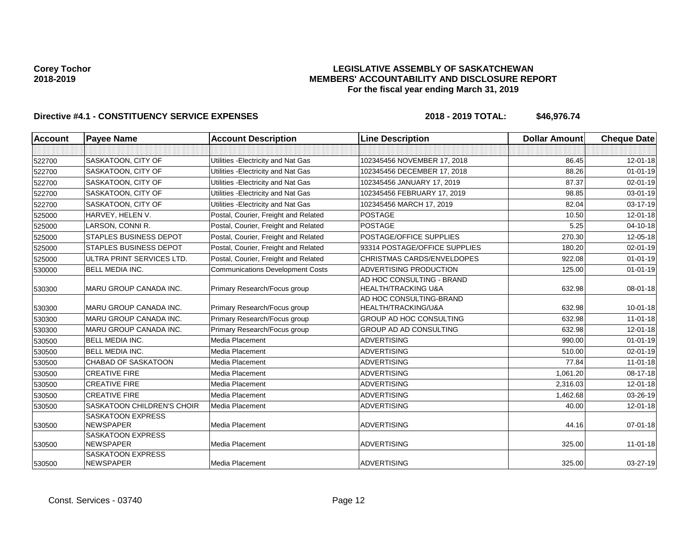### **LEGISLATIVE ASSEMBLY OF SASKATCHEWAN MEMBERS' ACCOUNTABILITY AND DISCLOSURE REPORT For the fiscal year ending March 31, 2019**

| <b>Account</b> | <b>Payee Name</b>                            | <b>Account Description</b>              | <b>Line Description</b>                                     | <b>Dollar Amount</b> | <b>Cheque Date</b> |
|----------------|----------------------------------------------|-----------------------------------------|-------------------------------------------------------------|----------------------|--------------------|
|                |                                              |                                         |                                                             |                      |                    |
| 522700         | SASKATOON, CITY OF                           | Utilities - Electricity and Nat Gas     | 102345456 NOVEMBER 17, 2018                                 | 86.45                | $12 - 01 - 18$     |
| 522700         | <b>SASKATOON, CITY OF</b>                    | Utilities - Electricity and Nat Gas     | 102345456 DECEMBER 17, 2018                                 | 88.26                | $01 - 01 - 19$     |
| 522700         | <b>SASKATOON, CITY OF</b>                    | Utilities - Electricity and Nat Gas     | 102345456 JANUARY 17, 2019                                  | 87.37                | $02 - 01 - 19$     |
| 522700         | SASKATOON, CITY OF                           | Utilities - Electricity and Nat Gas     | 102345456 FEBRUARY 17, 2019                                 | 98.85                | 03-01-19           |
| 522700         | SASKATOON, CITY OF                           | Utilities - Electricity and Nat Gas     | 102345456 MARCH 17, 2019                                    | 82.04                | 03-17-19           |
| 525000         | HARVEY, HELEN V.                             | Postal, Courier, Freight and Related    | <b>POSTAGE</b>                                              | 10.50                | $12 - 01 - 18$     |
| 525000         | LARSON, CONNI R.                             | Postal, Courier, Freight and Related    | <b>POSTAGE</b>                                              | 5.25                 | $04 - 10 - 18$     |
| 525000         | <b>STAPLES BUSINESS DEPOT</b>                | Postal, Courier, Freight and Related    | POSTAGE/OFFICE SUPPLIES                                     | 270.30               | 12-05-18           |
| 525000         | <b>STAPLES BUSINESS DEPOT</b>                | Postal, Courier, Freight and Related    | 93314 POSTAGE/OFFICE SUPPLIES                               | 180.20               | $02 - 01 - 19$     |
| 525000         | ULTRA PRINT SERVICES LTD.                    | Postal, Courier, Freight and Related    | <b>CHRISTMAS CARDS/ENVELDOPES</b>                           | 922.08               | $01 - 01 - 19$     |
| 530000         | <b>BELL MEDIA INC.</b>                       | <b>Communications Development Costs</b> | <b>ADVERTISING PRODUCTION</b>                               | 125.00               | $01 - 01 - 19$     |
| 530300         | MARU GROUP CANADA INC.                       | Primary Research/Focus group            | AD HOC CONSULTING - BRAND<br><b>HEALTH/TRACKING U&amp;A</b> | 632.98               | 08-01-18           |
| 530300         | MARU GROUP CANADA INC.                       | Primary Research/Focus group            | AD HOC CONSULTING-BRAND<br>HEALTH/TRACKING/U&A              | 632.98               | $10 - 01 - 18$     |
| 530300         | <b>MARU GROUP CANADA INC.</b>                | Primary Research/Focus group            | <b>GROUP AD HOC CONSULTING</b>                              | 632.98               | $11-01-18$         |
| 530300         | MARU GROUP CANADA INC.                       | Primary Research/Focus group            | GROUP AD AD CONSULTING                                      | 632.98               | $12 - 01 - 18$     |
| 530500         | BELL MEDIA INC.                              | Media Placement                         | <b>ADVERTISING</b>                                          | 990.00               | $01 - 01 - 19$     |
| 530500         | <b>BELL MEDIA INC.</b>                       | Media Placement                         | <b>ADVERTISING</b>                                          | 510.00               | $02 - 01 - 19$     |
| 530500         | CHABAD OF SASKATOON                          | Media Placement                         | <b>ADVERTISING</b>                                          | 77.84                | $11 - 01 - 18$     |
| 530500         | <b>CREATIVE FIRE</b>                         | Media Placement                         | <b>ADVERTISING</b>                                          | 1,061.20             | 08-17-18           |
| 530500         | <b>CREATIVE FIRE</b>                         | Media Placement                         | <b>ADVERTISING</b>                                          | 2,316.03             | 12-01-18           |
| 530500         | <b>CREATIVE FIRE</b>                         | Media Placement                         | <b>ADVERTISING</b>                                          | 1,462.68             | 03-26-19           |
| 530500         | <b>SASKATOON CHILDREN'S CHOIR</b>            | Media Placement                         | <b>ADVERTISING</b>                                          | 40.00                | $12 - 01 - 18$     |
| 530500         | <b>SASKATOON EXPRESS</b><br><b>NEWSPAPER</b> | Media Placement                         | <b>ADVERTISING</b>                                          | 44.16                | $07 - 01 - 18$     |
| 530500         | <b>SASKATOON EXPRESS</b><br><b>NEWSPAPER</b> | Media Placement                         | <b>ADVERTISING</b>                                          | 325.00               | $11 - 01 - 18$     |
| 530500         | <b>SASKATOON EXPRESS</b><br><b>NEWSPAPER</b> | Media Placement                         | <b>ADVERTISING</b>                                          | 325.00               | $03 - 27 - 19$     |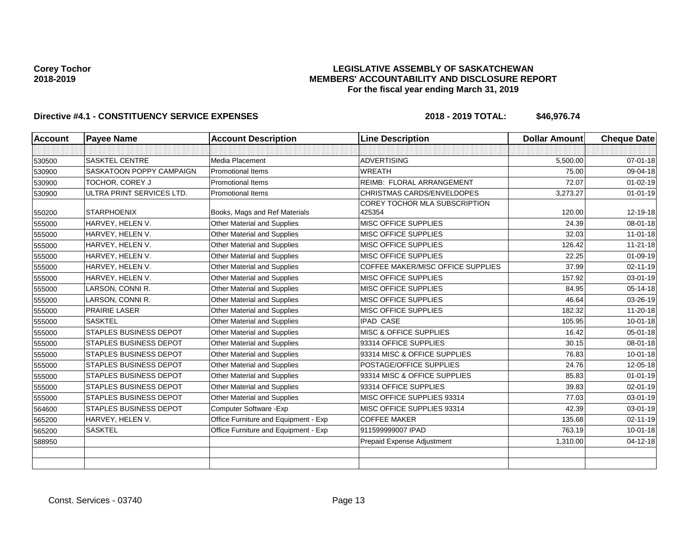### **LEGISLATIVE ASSEMBLY OF SASKATCHEWAN MEMBERS' ACCOUNTABILITY AND DISCLOSURE REPORT For the fiscal year ending March 31, 2019**

| <b>Cheque Date</b> | <b>Dollar Amount</b> | <b>Line Description</b>                 | <b>Account Description</b>           | <b>Payee Name</b>             | <b>Account</b> |
|--------------------|----------------------|-----------------------------------------|--------------------------------------|-------------------------------|----------------|
|                    |                      |                                         |                                      |                               |                |
| $07 - 01 - 18$     | 5,500.00             | <b>ADVERTISING</b>                      | Media Placement                      | <b>SASKTEL CENTRE</b>         | 530500         |
| 09-04-18           | 75.00                | <b>WREATH</b>                           | <b>Promotional Items</b>             | SASKATOON POPPY CAMPAIGN      | 530900         |
| $01 - 02 - 19$     | 72.07                | REIMB: FLORAL ARRANGEMENT               | <b>Promotional Items</b>             | TOCHOR, COREY J               | 530900         |
| $01 - 01 - 19$     | 3,273.27             | CHRISTMAS CARDS/ENVELDOPES              | <b>Promotional Items</b>             | ULTRA PRINT SERVICES LTD.     | 530900         |
| 12-19-18           | 120.00               | COREY TOCHOR MLA SUBSCRIPTION<br>425354 | Books, Mags and Ref Materials        | <b>STARPHOENIX</b>            | 550200         |
| $08 - 01 - 18$     | 24.39                | <b>MISC OFFICE SUPPLIES</b>             | <b>Other Material and Supplies</b>   | HARVEY, HELEN V.              | 555000         |
| $11-01-18$         | 32.03                | MISC OFFICE SUPPLIES                    | Other Material and Supplies          | HARVEY, HELEN V.              | 555000         |
| $11 - 21 - 18$     | 126.42               | <b>MISC OFFICE SUPPLIES</b>             | Other Material and Supplies          | HARVEY, HELEN V.              | 555000         |
| 01-09-19           | 22.25                | MISC OFFICE SUPPLIES                    | Other Material and Supplies          | HARVEY, HELEN V.              | 555000         |
| $02 - 11 - 19$     | 37.99                | COFFEE MAKER/MISC OFFICE SUPPLIES       | Other Material and Supplies          | HARVEY, HELEN V.              | 555000         |
| 03-01-19           | 157.92               | <b>MISC OFFICE SUPPLIES</b>             | Other Material and Supplies          | HARVEY, HELEN V.              | 555000         |
| 05-14-18           | 84.95                | <b>MISC OFFICE SUPPLIES</b>             | Other Material and Supplies          | LARSON, CONNI R.              | 555000         |
| 03-26-19           | 46.64                | MISC OFFICE SUPPLIES                    | Other Material and Supplies          | LARSON, CONNI R.              | 555000         |
| 11-20-18           | 182.32               | <b>MISC OFFICE SUPPLIES</b>             | Other Material and Supplies          | <b>PRAIRIE LASER</b>          | 555000         |
| $10 - 01 - 18$     | 105.95               | <b>IPAD CASE</b>                        | Other Material and Supplies          | <b>SASKTEL</b>                | 555000         |
| 05-01-18           | 16.42                | MISC & OFFICE SUPPLIES                  | Other Material and Supplies          | <b>STAPLES BUSINESS DEPOT</b> | 555000         |
| 08-01-18           | 30.15                | 93314 OFFICE SUPPLIES                   | Other Material and Supplies          | <b>STAPLES BUSINESS DEPOT</b> | 555000         |
| $10 - 01 - 18$     | 76.83                | 93314 MISC & OFFICE SUPPLIES            | Other Material and Supplies          | <b>STAPLES BUSINESS DEPOT</b> | 555000         |
| 12-05-18           | 24.76                | POSTAGE/OFFICE SUPPLIES                 | Other Material and Supplies          | <b>STAPLES BUSINESS DEPOT</b> | 555000         |
| $01 - 01 - 19$     | 85.83                | 93314 MISC & OFFICE SUPPLIES            | Other Material and Supplies          | <b>STAPLES BUSINESS DEPOT</b> | 555000         |
| $02 - 01 - 19$     | 39.83                | 93314 OFFICE SUPPLIES                   | Other Material and Supplies          | <b>STAPLES BUSINESS DEPOT</b> | 555000         |
| 03-01-19           | 77.03                | MISC OFFICE SUPPLIES 93314              | Other Material and Supplies          | <b>STAPLES BUSINESS DEPOT</b> | 555000         |
| 03-01-19           | 42.39                | MISC OFFICE SUPPLIES 93314              | Computer Software - Exp              | <b>STAPLES BUSINESS DEPOT</b> | 564600         |
| 02-11-19           | 135.68               | <b>COFFEE MAKER</b>                     | Office Furniture and Equipment - Exp | HARVEY, HELEN V.              | 565200         |
| $10 - 01 - 18$     | 763.19               | 911599999007 IPAD                       | Office Furniture and Equipment - Exp | <b>SASKTEL</b>                | 565200         |
| $04 - 12 - 18$     | 1,310.00             | Prepaid Expense Adjustment              |                                      |                               | 588950         |
|                    |                      |                                         |                                      |                               |                |
|                    |                      |                                         |                                      |                               |                |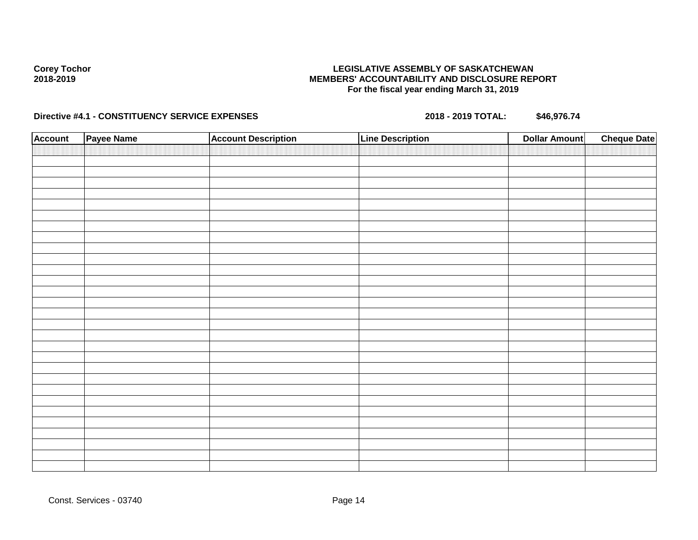### **LEGISLATIVE ASSEMBLY OF SASKATCHEWAN MEMBERS' ACCOUNTABILITY AND DISCLOSURE REPORT For the fiscal year ending March 31, 2019**

| <b>Account</b> | Payee Name | <b>Account Description</b> | <b>Line Description</b> | <b>Dollar Amount</b> | <b>Cheque Date</b> |
|----------------|------------|----------------------------|-------------------------|----------------------|--------------------|
|                |            |                            |                         |                      |                    |
|                |            |                            |                         |                      |                    |
|                |            |                            |                         |                      |                    |
|                |            |                            |                         |                      |                    |
|                |            |                            |                         |                      |                    |
|                |            |                            |                         |                      |                    |
|                |            |                            |                         |                      |                    |
|                |            |                            |                         |                      |                    |
|                |            |                            |                         |                      |                    |
|                |            |                            |                         |                      |                    |
|                |            |                            |                         |                      |                    |
|                |            |                            |                         |                      |                    |
|                |            |                            |                         |                      |                    |
|                |            |                            |                         |                      |                    |
|                |            |                            |                         |                      |                    |
|                |            |                            |                         |                      |                    |
|                |            |                            |                         |                      |                    |
|                |            |                            |                         |                      |                    |
|                |            |                            |                         |                      |                    |
|                |            |                            |                         |                      |                    |
|                |            |                            |                         |                      |                    |
|                |            |                            |                         |                      |                    |
|                |            |                            |                         |                      |                    |
|                |            |                            |                         |                      |                    |
|                |            |                            |                         |                      |                    |
|                |            |                            |                         |                      |                    |
|                |            |                            |                         |                      |                    |
|                |            |                            |                         |                      |                    |
|                |            |                            |                         |                      |                    |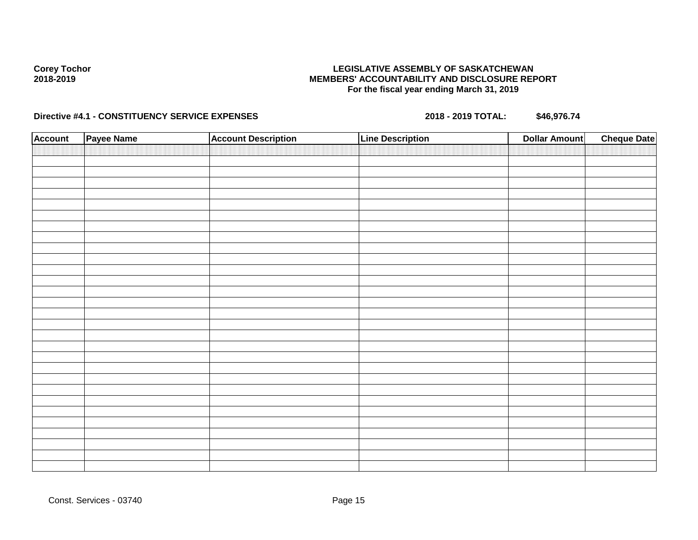### **LEGISLATIVE ASSEMBLY OF SASKATCHEWAN MEMBERS' ACCOUNTABILITY AND DISCLOSURE REPORT For the fiscal year ending March 31, 2019**

| <b>Account</b> | Payee Name | <b>Account Description</b> | <b>Line Description</b> | <b>Dollar Amount</b> | <b>Cheque Date</b> |
|----------------|------------|----------------------------|-------------------------|----------------------|--------------------|
|                |            |                            |                         |                      |                    |
|                |            |                            |                         |                      |                    |
|                |            |                            |                         |                      |                    |
|                |            |                            |                         |                      |                    |
|                |            |                            |                         |                      |                    |
|                |            |                            |                         |                      |                    |
|                |            |                            |                         |                      |                    |
|                |            |                            |                         |                      |                    |
|                |            |                            |                         |                      |                    |
|                |            |                            |                         |                      |                    |
|                |            |                            |                         |                      |                    |
|                |            |                            |                         |                      |                    |
|                |            |                            |                         |                      |                    |
|                |            |                            |                         |                      |                    |
|                |            |                            |                         |                      |                    |
|                |            |                            |                         |                      |                    |
|                |            |                            |                         |                      |                    |
|                |            |                            |                         |                      |                    |
|                |            |                            |                         |                      |                    |
|                |            |                            |                         |                      |                    |
|                |            |                            |                         |                      |                    |
|                |            |                            |                         |                      |                    |
|                |            |                            |                         |                      |                    |
|                |            |                            |                         |                      |                    |
|                |            |                            |                         |                      |                    |
|                |            |                            |                         |                      |                    |
|                |            |                            |                         |                      |                    |
|                |            |                            |                         |                      |                    |
|                |            |                            |                         |                      |                    |
|                |            |                            |                         |                      |                    |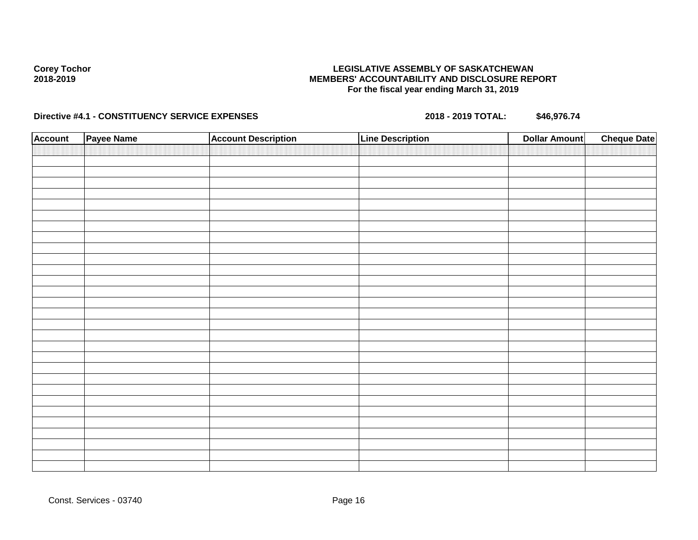### **LEGISLATIVE ASSEMBLY OF SASKATCHEWAN MEMBERS' ACCOUNTABILITY AND DISCLOSURE REPORT For the fiscal year ending March 31, 2019**

| <b>Account</b> | Payee Name | <b>Account Description</b> | <b>Line Description</b> | <b>Dollar Amount</b> | <b>Cheque Date</b> |
|----------------|------------|----------------------------|-------------------------|----------------------|--------------------|
|                |            |                            |                         |                      |                    |
|                |            |                            |                         |                      |                    |
|                |            |                            |                         |                      |                    |
|                |            |                            |                         |                      |                    |
|                |            |                            |                         |                      |                    |
|                |            |                            |                         |                      |                    |
|                |            |                            |                         |                      |                    |
|                |            |                            |                         |                      |                    |
|                |            |                            |                         |                      |                    |
|                |            |                            |                         |                      |                    |
|                |            |                            |                         |                      |                    |
|                |            |                            |                         |                      |                    |
|                |            |                            |                         |                      |                    |
|                |            |                            |                         |                      |                    |
|                |            |                            |                         |                      |                    |
|                |            |                            |                         |                      |                    |
|                |            |                            |                         |                      |                    |
|                |            |                            |                         |                      |                    |
|                |            |                            |                         |                      |                    |
|                |            |                            |                         |                      |                    |
|                |            |                            |                         |                      |                    |
|                |            |                            |                         |                      |                    |
|                |            |                            |                         |                      |                    |
|                |            |                            |                         |                      |                    |
|                |            |                            |                         |                      |                    |
|                |            |                            |                         |                      |                    |
|                |            |                            |                         |                      |                    |
|                |            |                            |                         |                      |                    |
|                |            |                            |                         |                      |                    |
|                |            |                            |                         |                      |                    |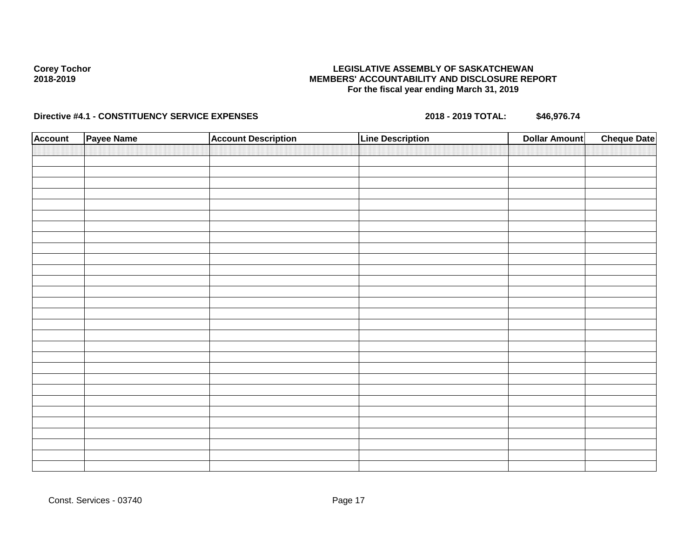### **LEGISLATIVE ASSEMBLY OF SASKATCHEWAN MEMBERS' ACCOUNTABILITY AND DISCLOSURE REPORT For the fiscal year ending March 31, 2019**

| <b>Account</b> | Payee Name | <b>Account Description</b> | <b>Line Description</b> | <b>Dollar Amount</b> | <b>Cheque Date</b> |
|----------------|------------|----------------------------|-------------------------|----------------------|--------------------|
|                |            |                            |                         |                      |                    |
|                |            |                            |                         |                      |                    |
|                |            |                            |                         |                      |                    |
|                |            |                            |                         |                      |                    |
|                |            |                            |                         |                      |                    |
|                |            |                            |                         |                      |                    |
|                |            |                            |                         |                      |                    |
|                |            |                            |                         |                      |                    |
|                |            |                            |                         |                      |                    |
|                |            |                            |                         |                      |                    |
|                |            |                            |                         |                      |                    |
|                |            |                            |                         |                      |                    |
|                |            |                            |                         |                      |                    |
|                |            |                            |                         |                      |                    |
|                |            |                            |                         |                      |                    |
|                |            |                            |                         |                      |                    |
|                |            |                            |                         |                      |                    |
|                |            |                            |                         |                      |                    |
|                |            |                            |                         |                      |                    |
|                |            |                            |                         |                      |                    |
|                |            |                            |                         |                      |                    |
|                |            |                            |                         |                      |                    |
|                |            |                            |                         |                      |                    |
|                |            |                            |                         |                      |                    |
|                |            |                            |                         |                      |                    |
|                |            |                            |                         |                      |                    |
|                |            |                            |                         |                      |                    |
|                |            |                            |                         |                      |                    |
|                |            |                            |                         |                      |                    |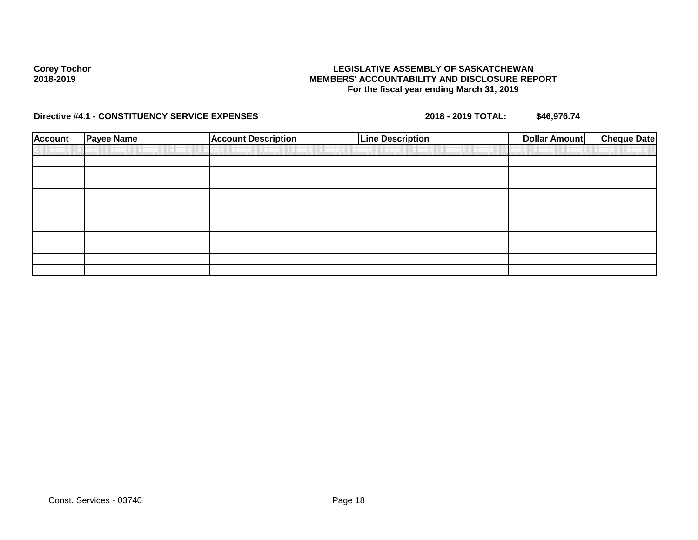### **LEGISLATIVE ASSEMBLY OF SASKATCHEWAN MEMBERS' ACCOUNTABILITY AND DISCLOSURE REPORT For the fiscal year ending March 31, 2019**

| <b>Account</b> | <b>Payee Name</b> | <b>Account Description</b> | <b>Line Description</b> | <b>Cheque Date</b><br>Dollar Amount |
|----------------|-------------------|----------------------------|-------------------------|-------------------------------------|
|                |                   |                            |                         |                                     |
|                |                   |                            |                         |                                     |
|                |                   |                            |                         |                                     |
|                |                   |                            |                         |                                     |
|                |                   |                            |                         |                                     |
|                |                   |                            |                         |                                     |
|                |                   |                            |                         |                                     |
|                |                   |                            |                         |                                     |
|                |                   |                            |                         |                                     |
|                |                   |                            |                         |                                     |
|                |                   |                            |                         |                                     |
|                |                   |                            |                         |                                     |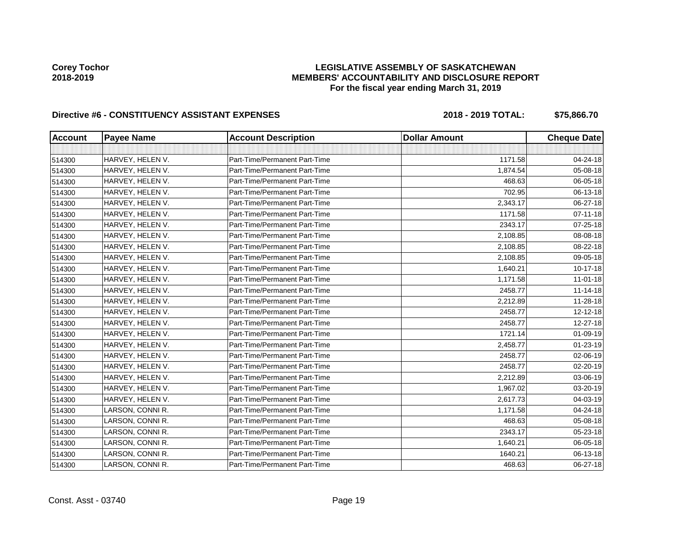### **LEGISLATIVE ASSEMBLY OF SASKATCHEWAN MEMBERS' ACCOUNTABILITY AND DISCLOSURE REPORT For the fiscal year ending March 31, 2019**

| <b>Account</b> | <b>Payee Name</b> | <b>Account Description</b>    | <b>Dollar Amount</b> | <b>Cheque Date</b> |
|----------------|-------------------|-------------------------------|----------------------|--------------------|
|                |                   |                               |                      |                    |
| 514300         | HARVEY, HELEN V.  | Part-Time/Permanent Part-Time | 1171.58              | 04-24-18           |
| 514300         | HARVEY, HELEN V.  | Part-Time/Permanent Part-Time | 1,874.54             | 05-08-18           |
| 514300         | HARVEY, HELEN V.  | Part-Time/Permanent Part-Time | 468.63               | 06-05-18           |
| 514300         | HARVEY, HELEN V.  | Part-Time/Permanent Part-Time | 702.95               | 06-13-18           |
| 514300         | HARVEY, HELEN V.  | Part-Time/Permanent Part-Time | 2,343.17             | 06-27-18           |
| 514300         | HARVEY, HELEN V.  | Part-Time/Permanent Part-Time | 1171.58              | 07-11-18           |
| 514300         | HARVEY, HELEN V.  | Part-Time/Permanent Part-Time | 2343.17              | $07 - 25 - 18$     |
| 514300         | HARVEY, HELEN V.  | Part-Time/Permanent Part-Time | 2,108.85             | 08-08-18           |
| 514300         | HARVEY, HELEN V.  | Part-Time/Permanent Part-Time | 2,108.85             | 08-22-18           |
| 514300         | HARVEY, HELEN V.  | Part-Time/Permanent Part-Time | 2,108.85             | 09-05-18           |
| 514300         | HARVEY, HELEN V.  | Part-Time/Permanent Part-Time | 1,640.21             | $10-17-18$         |
| 514300         | HARVEY, HELEN V.  | Part-Time/Permanent Part-Time | 1,171.58             | $11 - 01 - 18$     |
| 514300         | HARVEY, HELEN V.  | Part-Time/Permanent Part-Time | 2458.77              | $11 - 14 - 18$     |
| 514300         | HARVEY, HELEN V.  | Part-Time/Permanent Part-Time | 2,212.89             | 11-28-18           |
| 514300         | HARVEY, HELEN V.  | Part-Time/Permanent Part-Time | 2458.77              | 12-12-18           |
| 514300         | HARVEY, HELEN V.  | Part-Time/Permanent Part-Time | 2458.77              | 12-27-18           |
| 514300         | HARVEY, HELEN V.  | Part-Time/Permanent Part-Time | 1721.14              | $01 - 09 - 19$     |
| 514300         | HARVEY, HELEN V.  | Part-Time/Permanent Part-Time | 2,458.77             | $01 - 23 - 19$     |
| 514300         | HARVEY, HELEN V.  | Part-Time/Permanent Part-Time | 2458.77              | $02 - 06 - 19$     |
| 514300         | HARVEY, HELEN V.  | Part-Time/Permanent Part-Time | 2458.77              | 02-20-19           |
| 514300         | HARVEY, HELEN V.  | Part-Time/Permanent Part-Time | 2,212.89             | 03-06-19           |
| 514300         | HARVEY, HELEN V.  | Part-Time/Permanent Part-Time | 1,967.02             | 03-20-19           |
| 514300         | HARVEY, HELEN V.  | Part-Time/Permanent Part-Time | 2,617.73             | 04-03-19           |
| 514300         | LARSON, CONNI R.  | Part-Time/Permanent Part-Time | 1,171.58             | 04-24-18           |
| 514300         | LARSON, CONNI R.  | Part-Time/Permanent Part-Time | 468.63               | 05-08-18           |
| 514300         | LARSON, CONNI R.  | Part-Time/Permanent Part-Time | 2343.17              | 05-23-18           |
| 514300         | LARSON, CONNI R.  | Part-Time/Permanent Part-Time | 1,640.21             | 06-05-18           |
| 514300         | LARSON, CONNI R.  | Part-Time/Permanent Part-Time | 1640.21              | 06-13-18           |
| 514300         | LARSON, CONNI R.  | Part-Time/Permanent Part-Time | 468.63               | 06-27-18           |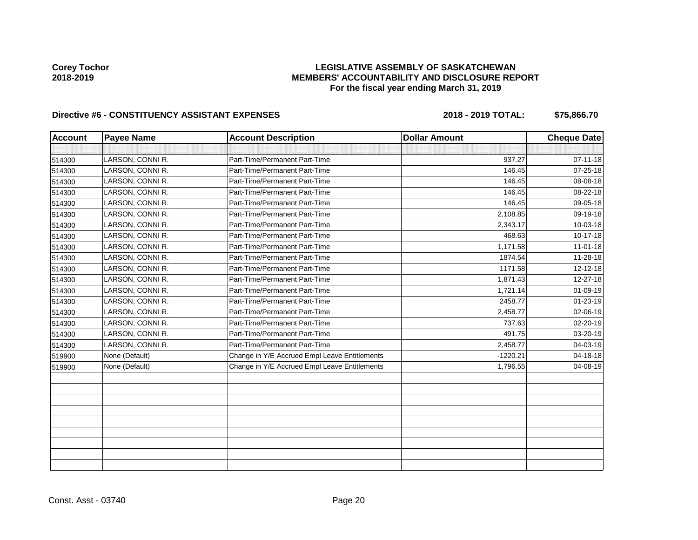### **LEGISLATIVE ASSEMBLY OF SASKATCHEWAN MEMBERS' ACCOUNTABILITY AND DISCLOSURE REPORT For the fiscal year ending March 31, 2019**

| <b>Account</b> | <b>Payee Name</b> | <b>Account Description</b>                    | <b>Dollar Amount</b> | <b>Cheque Date</b> |
|----------------|-------------------|-----------------------------------------------|----------------------|--------------------|
|                |                   |                                               |                      |                    |
| 514300         | LARSON, CONNI R.  | Part-Time/Permanent Part-Time                 | 937.27               | $07 - 11 - 18$     |
| 514300         | LARSON, CONNI R.  | Part-Time/Permanent Part-Time                 | 146.45               | $07 - 25 - 18$     |
| 514300         | LARSON, CONNI R.  | Part-Time/Permanent Part-Time                 | 146.45               | 08-08-18           |
| 514300         | LARSON, CONNI R.  | Part-Time/Permanent Part-Time                 | 146.45               | 08-22-18           |
| 514300         | LARSON, CONNI R.  | Part-Time/Permanent Part-Time                 | 146.45               | 09-05-18           |
| 514300         | LARSON, CONNI R.  | Part-Time/Permanent Part-Time                 | 2,108.85             | 09-19-18           |
| 514300         | LARSON, CONNI R.  | Part-Time/Permanent Part-Time                 | 2,343.17             | 10-03-18           |
| 514300         | LARSON, CONNI R.  | Part-Time/Permanent Part-Time                 | 468.63               | 10-17-18           |
| 514300         | LARSON, CONNI R.  | Part-Time/Permanent Part-Time                 | 1,171.58             | $11 - 01 - 18$     |
| 514300         | LARSON, CONNI R.  | Part-Time/Permanent Part-Time                 | 1874.54              | 11-28-18           |
| 514300         | LARSON, CONNI R.  | Part-Time/Permanent Part-Time                 | 1171.58              | 12-12-18           |
| 514300         | LARSON, CONNI R.  | Part-Time/Permanent Part-Time                 | 1,871.43             | 12-27-18           |
| 514300         | LARSON, CONNI R.  | Part-Time/Permanent Part-Time                 | 1,721.14             | 01-09-19           |
| 514300         | LARSON, CONNI R.  | Part-Time/Permanent Part-Time                 | 2458.77              | $01 - 23 - 19$     |
| 514300         | LARSON, CONNI R.  | Part-Time/Permanent Part-Time                 | 2,458.77             | 02-06-19           |
| 514300         | LARSON, CONNI R.  | Part-Time/Permanent Part-Time                 | 737.63               | 02-20-19           |
| 514300         | LARSON, CONNI R.  | Part-Time/Permanent Part-Time                 | 491.75               | 03-20-19           |
| 514300         | LARSON, CONNI R.  | Part-Time/Permanent Part-Time                 | 2,458.77             | 04-03-19           |
| 519900         | None (Default)    | Change in Y/E Accrued Empl Leave Entitlements | $-1220.21$           | 04-18-18           |
| 519900         | None (Default)    | Change in Y/E Accrued Empl Leave Entitlements | 1,796.55             | 04-08-19           |
|                |                   |                                               |                      |                    |
|                |                   |                                               |                      |                    |
|                |                   |                                               |                      |                    |
|                |                   |                                               |                      |                    |
|                |                   |                                               |                      |                    |
|                |                   |                                               |                      |                    |
|                |                   |                                               |                      |                    |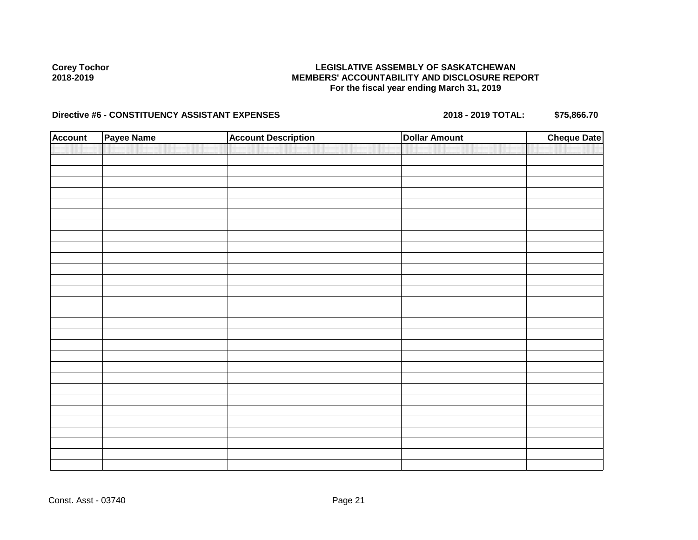### **LEGISLATIVE ASSEMBLY OF SASKATCHEWAN MEMBERS' ACCOUNTABILITY AND DISCLOSURE REPORT For the fiscal year ending March 31, 2019**

| <b>Account</b> | Payee Name | <b>Account Description</b> | <b>Dollar Amount</b> | <b>Cheque Date</b> |
|----------------|------------|----------------------------|----------------------|--------------------|
|                |            |                            |                      |                    |
|                |            |                            |                      |                    |
|                |            |                            |                      |                    |
|                |            |                            |                      |                    |
|                |            |                            |                      |                    |
|                |            |                            |                      |                    |
|                |            |                            |                      |                    |
|                |            |                            |                      |                    |
|                |            |                            |                      |                    |
|                |            |                            |                      |                    |
|                |            |                            |                      |                    |
|                |            |                            |                      |                    |
|                |            |                            |                      |                    |
|                |            |                            |                      |                    |
|                |            |                            |                      |                    |
|                |            |                            |                      |                    |
|                |            |                            |                      |                    |
|                |            |                            |                      |                    |
|                |            |                            |                      |                    |
|                |            |                            |                      |                    |
|                |            |                            |                      |                    |
|                |            |                            |                      |                    |
|                |            |                            |                      |                    |
|                |            |                            |                      |                    |
|                |            |                            |                      |                    |
|                |            |                            |                      |                    |
|                |            |                            |                      |                    |
|                |            |                            |                      |                    |
|                |            |                            |                      |                    |